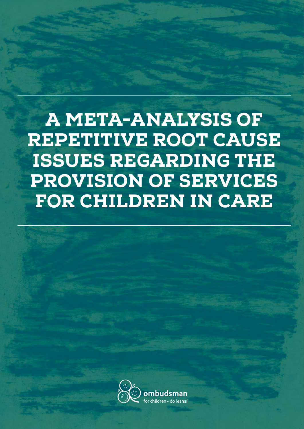A META-ANALYSIS OF REPETITIVE ROOT CAUSE ISSUES REGARDING THE PROVISION OF SERVICES FOR CHILDREN IN CARE

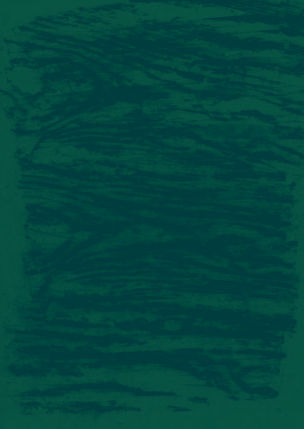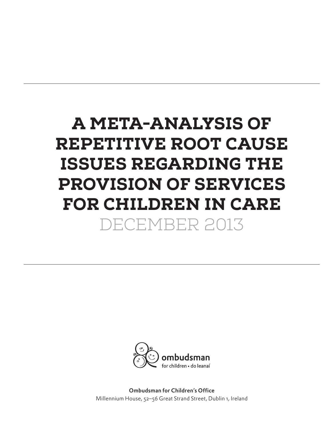## A META-ANALYSIS OF REPETITIVE ROOT CAUSE ISSUES REGARDING THE PROVISION OF SERVICES FOR CHILDREN IN CARE DECEMBER 2013



Ombudsman for Children's Office Millennium House, 52–56 Great Strand Street, Dublin 1, Ireland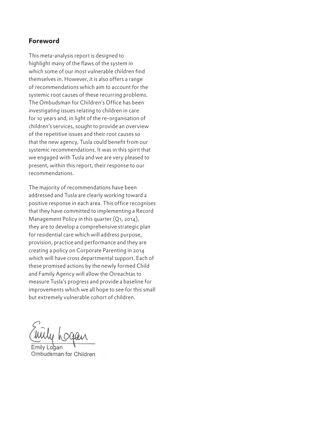#### **Foreword**

This meta-analysis report is designed to highlight many of the flaws of the system in which some of our most vulnerable children find themselves in. However, it is also offers a range of recommendations which aim to account for the systemic root causes of these recurring problems. The Ombudsman for Children's Office has been investigating issues relating to children in care for 10 years and, in light of the re-organisation of children's services, sought to provide an overview of the repetitive issues and their root causes so that the new agency, Tusla could benefit from our systemic recommendations. It was in this spirit that we engaged with Tusla and we are very pleased to present, within this report, their response to our recommendations.

The majority of recommendations have been addressed and Tusla are clearly working toward a positive response in each area. This office recognises that they have committed to implementing a Record Management Policy in this quarter (Q1, 2014), they are to develop a comprehensive strategic plan for residential care which will address purpose, provision, practice and performance and they are creating a policy on Corporate Parenting in 2014 which will have cross departmental support. Each of these promised actions by the newly formed Child and Family Agency will allow the Oireachtas to measure Tusla's progress and provide a baseline for improvements which we all hope to see for this small but extremely vulnerable cohort of children.

Ombudsman for Children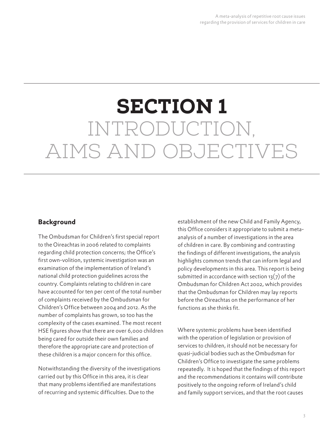## SECTION 1 INTRODUCTION, AIMS AND OBJECTIVES

#### **Background**

The Ombudsman for Children's first special report to the Oireachtas in 2006 related to complaints regarding child protection concerns; the Office's first own-volition, systemic investigation was an examination of the implementation of Ireland's national child protection guidelines across the country. Complaints relating to children in care have accounted for ten per cent of the total number of complaints received by the Ombudsman for Children's Office between 2004 and 2012. As the number of complaints has grown, so too has the complexity of the cases examined. The most recent HSE figures show that there are over 6,000 children being cared for outside their own families and therefore the appropriate care and protection of these children is a major concern for this office.

Notwithstanding the diversity of the investigations carried out by this Office in this area, it is clear that many problems identified are manifestations of recurring and systemic difficulties. Due to the

establishment of the new Child and Family Agency, this Office considers it appropriate to submit a metaanalysis of a number of investigations in the area of children in care. By combining and contrasting the findings of different investigations, the analysis highlights common trends that can inform legal and policy developments in this area. This report is being submitted in accordance with section  $13(7)$  of the Ombudsman for Children Act 2002, which provides that the Ombudsman for Children may lay reports before the Oireachtas on the performance of her functions as she thinks fit.

Where systemic problems have been identified with the operation of legislation or provision of services to children, it should not be necessary for quasi-judicial bodies such as the Ombudsman for Children's Office to investigate the same problems repeatedly. It is hoped that the findings of this report and the recommendations it contains will contribute positively to the ongoing reform of Ireland's child and family support services, and that the root causes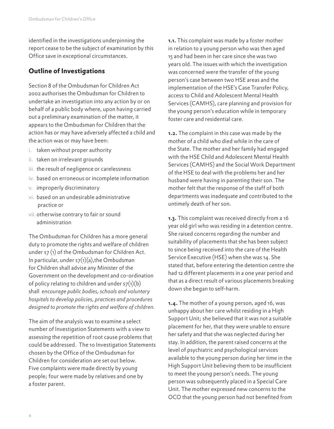identified in the investigations underpinning the report cease to be the subject of examination by this Office save in exceptional circumstances.

#### **Outline of Investigations**

Section 8 of the Ombudsman for Children Act 2002 authorises the Ombudsman for Children to undertake an investigation into any action by or on behalf of a public body where, upon having carried out a preliminary examination of the matter, it appears to the Ombudsman for Children that the action has or may have adversely affected a child and the action was or may have been:

- i. taken without proper authority
- ii. taken on irrelevant grounds
- iii. the result of negligence or carelessness
- iv. based on erroneous or incomplete information
- v. improperly discriminatory
- vi. based on an undesirable administrative practice or
- vii.otherwise contrary to fair or sound administration

The Ombudsman for Children has a more general duty to promote the rights and welfare of children under s7 (1) of the Ombudsman for Children Act. In particular, under  $s7(1)(a)$ , the Ombudsman for Children shall advise any Minister of the Government on the development and co-ordination of policy relating to children and under  $s7(1)(b)$ shall *encourage public bodies, schools and voluntary hospitals to develop policies, practices and procedures designed to promote the rights and welfare of children.* 

The aim of the analysis was to examine a select number of Investigation Statements with a view to assessing the repetition of root cause problems that could be addressed. The 10 Investigation Statements chosen by the Office of the Ombudsman for Children for consideration are set out below. Five complaints were made directly by young people; four were made by relatives and one by a foster parent.

1.1. This complaint was made by a foster mother in relation to a young person who was then aged 15 and had been in her care since she was two years old. The issues with which the investigation was concerned were the transfer of the young person's case between two HSE areas and the implementation of the HSE's Case Transfer Policy, access to Child and Adolescent Mental Health Services (CAMHS), care planning and provision for the young person's education while in temporary foster care and residential care.

1.2. The complaint in this case was made by the mother of a child who died while in the care of the State. The mother and her family had engaged with the HSE Child and Adolescent Mental Health Services (CAMHS) and the Social Work Department of the HSE to deal with the problems her and her husband were having in parenting their son. The mother felt that the response of the staff of both departments was inadequate and contributed to the untimely death of her son.

1.3. This complaint was received directly from a 16 year old girl who was residing in a detention centre. She raised concerns regarding the number and suitability of placements that she has been subject to since being received into the care of the Health Service Executive (HSE) when she was 14. She stated that, before entering the detention centre she had 12 different placements in a one year period and that as a direct result of various placements breaking down she began to self-harm.

1.4. The mother of a young person, aged 16, was unhappy about her care whilst residing in a High Support Unit; she believed that it was not a suitable placement for her, that they were unable to ensure her safety and that she was neglected during her stay. In addition, the parent raised concerns at the level of psychiatric and psychological services available to the young person during her time in the High Support Unit believing them to be insufficient to meet the young person's needs. The young person was subsequently placed in a Special Care Unit. The mother expressed new concerns to the OCO that the young person had not benefited from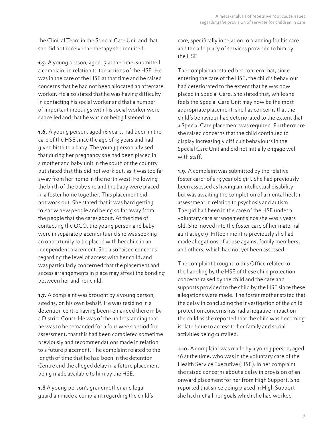the Clinical Team in the Special Care Unit and that she did not receive the therapy she required.

1.5. A young person, aged 17 at the time, submitted a complaint in relation to the actions of the HSE. He was in the care of the HSE at that time and he raised concerns that he had not been allocated an aftercare worker. He also stated that he was having difficulty in contacting his social worker and that a number of important meetings with his social worker were cancelled and that he was not being listened to.

1.6. A young person, aged 16 years, had been in the care of the HSE since the age of 13 years and had given birth to a baby .The young person advised that during her pregnancy she had been placed in a mother and baby unit in the south of the country but stated that this did not work out, as it was too far away from her home in the north west. Following the birth of the baby she and the baby were placed in a foster home together. This placement did not work out. She stated that it was hard getting to know new people and being so far away from the people that she cares about. At the time of contacting the OCO, the young person and baby were in separate placements and she was seeking an opportunity to be placed with her child in an independent placement. She also raised concerns regarding the level of access with her child, and was particularly concerned that the placement and access arrangements in place may affect the bonding between her and her child.

1.7. A complaint was brought by a young person, aged 15, on his own behalf. He was residing in a detention centre having been remanded there in by a District Court. He was of the understanding that he was to be remanded for a four week period for assessment, that this had been completed sometime previously and recommendations made in relation to a future placement. The complaint related to the length of time that he had been in the detention Centre and the alleged delay in a future placement being made available to him by the HSE.

1.8 A young person's grandmother and legal guardian made a complaint regarding the child's care, specifically in relation to planning for his care and the adequacy of services provided to him by the HSE.

The complainant stated her concern that, since entering the care of the HSE, the child's behaviour had deteriorated to the extent that he was now placed in Special Care. She stated that, while she feels the Special Care Unit may now be the most appropriate placement, she has concerns that the child's behaviour had deteriorated to the extent that a Special Care placement was required. Furthermore she raised concerns that the child continued to display increasingly difficult behaviours in the Special Care Unit and did not initially engage well with staff.

1.9. A complaint was submitted by the relative foster carer of a 13 year old girl. She had previously been assessed as having an intellectual disability but was awaiting the completion of a mental health assessment in relation to psychosis and autism. The girl had been in the care of the HSE under a voluntary care arrangement since she was 3 years old. She moved into the foster care of her maternal aunt at age 9. Fifteen months previously she had made allegations of abuse against family members, and others, which had not yet been assessed.

The complaint brought to this Office related to the handling by the HSE of these child protection concerns raised by the child and the care and supports provided to the child by the HSE since these allegations were made. The foster mother stated that the delay in concluding the investigation of the child protection concerns has had a negative impact on the child as she reported that the child was becoming isolated due to access to her family and social activities being curtailed.

1.10. A complaint was made by a young person, aged 16 at the time, who was in the voluntary care of the Health Service Executive (HSE). In her complaint she raised concerns about a delay in provision of an onward placement for her from High Support. She reported that since being placed in High Support she had met all her goals which she had worked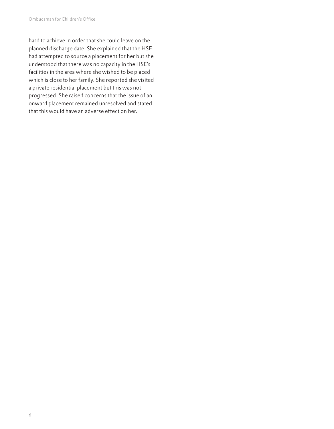hard to achieve in order that she could leave on the planned discharge date. She explained that the HSE had attempted to source a placement for her but she understood that there was no capacity in the HSE's facilities in the area where she wished to be placed which is close to her family. She reported she visited a private residential placement but this was not progressed. She raised concerns that the issue of an onward placement remained unresolved and stated that this would have an adverse effect on her.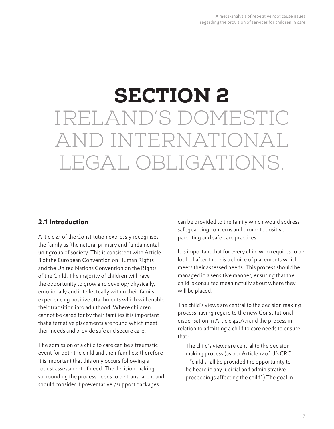## SECTION 2 IRELAND'S DOMESTIC AND INTERNATIONAL LEGAL OBLIGATIONS.

#### **2.1 Introduction**

Article 41 of the Constitution expressly recognises the family as 'the natural primary and fundamental unit group of society. This is consistent with Article 8 of the European Convention on Human Rights and the United Nations Convention on the Rights of the Child. The majority of children will have the opportunity to grow and develop; physically, emotionally and intellectually within their family, experiencing positive attachments which will enable their transition into adulthood. Where children cannot be cared for by their families it is important that alternative placements are found which meet their needs and provide safe and secure care.

The admission of a child to care can be a traumatic event for both the child and their families; therefore it is important that this only occurs following a robust assessment of need. The decision making surrounding the process needs to be transparent and should consider if preventative /support packages

can be provided to the family which would address safeguarding concerns and promote positive parenting and safe care practices.

It is important that for every child who requires to be looked after there is a choice of placements which meets their assessed needs. This process should be managed in a sensitive manner, ensuring that the child is consulted meaningfully about where they will be placed.

The child's views are central to the decision making process having regard to the new Constitutional dispensation in Article 42.A.1 and the process in relation to admitting a child to care needs to ensure that:

‒ The child's views are central to the decisionmaking process (as per Article 12 of UNCRC – "child shall be provided the opportunity to be heard in any judicial and administrative proceedings affecting the child").The goal in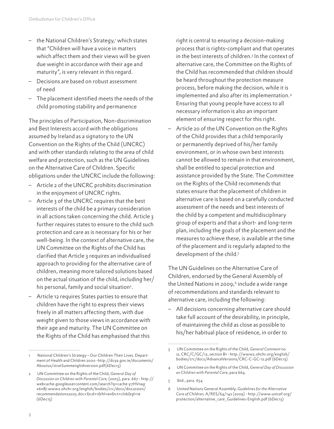- ‒ the National Children's Strategy,1 which states that "Children will have a voice in matters which affect them and their views will be given due weight in accordance with their age and maturity", is very relevant in this regard.
- ‒ Decisions are based on robust assessment of need
- ‒ The placement identified meets the needs of the child promoting stability and permanence

The principles of Participation, Non-discrimination and Best Interests accord with the obligations assumed by Ireland as a signatory to the UN Convention on the Rights of the Child (UNCRC) and with other standards relating to the area of child welfare and protection, such as the UN Guidelines on the Alternative Care of Children. Specific obligations under the UNCRC include the following:

- ‒ Article 2 of the UNCRC prohibits discrimination in the enjoyment of UNCRC rights.
- ‒ Article 3 of the UNCRC requires that the best interests of the child be a primary consideration in all actions taken concerning the child. Article 3 further requires states to ensure to the child such protection and care as is necessary for his or her well-being. In the context of alternative care, the UN Committee on the Rights of the Child has clarified that Article 3 requires an individualised approach to providing for the alternative care of children, meaning more tailored solutions based on the actual situation of the child, including her/ his personal, family and social situation<sup>2</sup>.
- ‒ Article 12 requires States parties to ensure that children have the right to express their views freely in all matters affecting them, with due weight given to those views in accordance with their age and maturity. The UN Committee on the Rights of the Child has emphasised that this

right is central to ensuring a decision-making process that is rights-compliant and that operates in the best interests of children.3 In the context of alternative care, the Committee on the Rights of the Child has recommended that children should be heard throughout the protection measure process, before making the decision, while it is implemented and also after its implementation.4 Ensuring that young people have access to all necessary information is also an important element of ensuring respect for this right.

‒ Article 20 of the UN Convention on the Rights of the Child provides that a child temporarily or permanently deprived of his/her family environment, or in whose own best interests cannot be allowed to remain in that environment, shall be entitled to special protection and assistance provided by the State. The Committee on the Rights of the Child recommends that states ensure that the placement of children in alternative care is based on a carefully conducted assessment of the needs and best interests of the child by a competent and multidisciplinary group of experts and that a short- and long-term plan, including the goals of the placement and the measures to achieve these, is available at the time of the placement and is regularly adapted to the development of the child.<sup>5</sup>

The UN Guidelines on the Alternative Care of Children, endorsed by the General Assembly of the United Nations in 2009, $6$  include a wide range of recommendations and standards relevant to alternative care, including the following:

‒ All decisions concerning alternative care should take full account of the desirability, in principle, of maintaining the child as close as possible to his/her habitual place of residence, in order to

National Children's Strategy – Our Children Their Lives. Department of Health and Children 2000 -http://dcya.gov.ie/documents/ Aboutus/stratSummenglishversion.pdf(6Dec13)

<sup>2</sup> UN Committee on the Rights of the Child, *General Day of Discussion on Children with Parental Care,* (2005), para. 667 - http:// webcache.googleusercontent.com/search?q=cache:y7HVnag x6n8J:www2.ohchr.org/english/bodies/crc/docs/discussion/ recommendations2005.doc+&cd=1&hl=en&ct=clnk&gl=ie (6Dec13)

<sup>3</sup> UN Committee on the Rights of the Child, *General Comment no. 12*, CRC/C/GC/12, section B1 - http://www2.ohchr.org/english/ bodies/crc/docs/AdvanceVersions/CRC-C-GC-12.pdf (6Dec13)

<sup>4</sup> UN Committee on the Rights of the Child, *General Day of Discussion on Children with Parental Care*, para 664.

<sup>5</sup> Ibid., para. 654

<sup>6</sup> United Nations General Assembly, *Guidelines for the Alternative Care of Children,* A/RES/64/142 (2009) - http://www.unicef.org/ protection/alternative\_care\_Guidelines-English.pdf (6Dec13)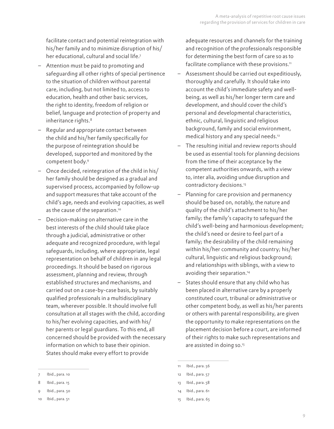facilitate contact and potential reintegration with his/her family and to minimize disruption of his/ her educational, cultural and social life.7

- ‒ Attention must be paid to promoting and safeguarding all other rights of special pertinence to the situation of children without parental care, including, but not limited to, access to education, health and other basic services, the right to identity, freedom of religion or belief, language and protection of property and inheritance rights.<sup>8</sup>
- ‒ Regular and appropriate contact between the child and his/her family specifically for the purpose of reintegration should be developed, supported and monitored by the competent body.9
- ‒ Once decided, reintegration of the child in his/ her family should be designed as a gradual and supervised process, accompanied by follow-up and support measures that take account of the child's age, needs and evolving capacities, as well as the cause of the separation.<sup>10</sup>
- ‒ Decision-making on alternative care in the best interests of the child should take place through a judicial, administrative or other adequate and recognized procedure, with legal safeguards, including, where appropriate, legal representation on behalf of children in any legal proceedings. It should be based on rigorous assessment, planning and review, through established structures and mechanisms, and carried out on a case-by-case basis, by suitably qualified professionals in a multidisciplinary team, wherever possible. It should involve full consultation at all stages with the child, according to his/her evolving capacities, and with his/ her parents or legal guardians. To this end, all concerned should be provided with the necessary information on which to base their opinion. States should make every effort to provide

adequate resources and channels for the training and recognition of the professionals responsible for determining the best form of care so as to facilitate compliance with these provisions.<sup>11</sup>

- Assessment should be carried out expeditiously, thoroughly and carefully. It should take into account the child's immediate safety and wellbeing, as well as his/her longer term care and development, and should cover the child's personal and developmental characteristics, ethnic, cultural, linguistic and religious background, family and social environment, medical history and any special needs.12
- The resulting initial and review reports should be used as essential tools for planning decisions from the time of their acceptance by the competent authorities onwards, with a view to, inter alia, avoiding undue disruption and contradictory decisions.13
- Planning for care provision and permanency should be based on, notably, the nature and quality of the child's attachment to his/her family; the family's capacity to safeguard the child's well-being and harmonious development; the child's need or desire to feel part of a family; the desirability of the child remaining within his/her community and country; his/her cultural, linguistic and religious background; and relationships with siblings, with a view to avoiding their separation.14
- ‒ States should ensure that any child who has been placed in alternative care by a properly constituted court, tribunal or administrative or other competent body, as well as his/her parents or others with parental responsibility, are given the opportunity to make representations on the placement decision before a court, are informed of their rights to make such representations and are assisted in doing so.15

<sup>7</sup> Ibid., para. 10

<sup>8</sup> Ibid., para. 15

<sup>9</sup> Ibid., para. 50

<sup>10</sup> Ibid., para. 51

<sup>11</sup> Ibid., para. 56

<sup>12</sup> Ibid., para. 57

<sup>13</sup> Ibid., para. 58

<sup>14</sup> Ibid., para. 61

<sup>15</sup> Ibid., para. 65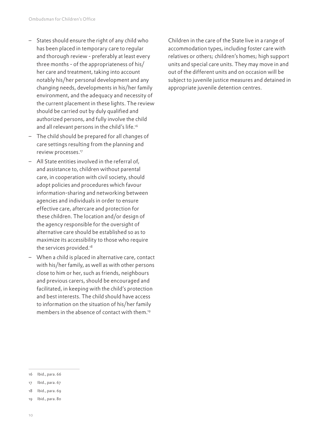- ‒ States should ensure the right of any child who has been placed in temporary care to regular and thorough review - preferably at least every three months - of the appropriateness of his/ her care and treatment, taking into account notably his/her personal development and any changing needs, developments in his/her family environment, and the adequacy and necessity of the current placement in these lights. The review should be carried out by duly qualified and authorized persons, and fully involve the child and all relevant persons in the child's life.<sup>16</sup>
- ‒ The child should be prepared for all changes of care settings resulting from the planning and review processes.17
- ‒ All State entities involved in the referral of, and assistance to, children without parental care, in cooperation with civil society, should adopt policies and procedures which favour information-sharing and networking between agencies and individuals in order to ensure effective care, aftercare and protection for these children. The location and/or design of the agency responsible for the oversight of alternative care should be established so as to maximize its accessibility to those who require the services provided.<sup>18</sup>
- ‒ When a child is placed in alternative care, contact with his/her family, as well as with other persons close to him or her, such as friends, neighbours and previous carers, should be encouraged and facilitated, in keeping with the child's protection and best interests. The child should have access to information on the situation of his/her family members in the absence of contact with them.19

Children in the care of the State live in a range of accommodation types, including foster care with relatives or others; children's homes; high support units and special care units. They may move in and out of the different units and on occasion will be subject to juvenile justice measures and detained in appropriate juvenile detention centres.

<sup>16</sup> Ibid., para. 66

<sup>17</sup> Ibid., para. 67

<sup>18</sup> Ibid., para. 69

<sup>19</sup> Ibid., para. 80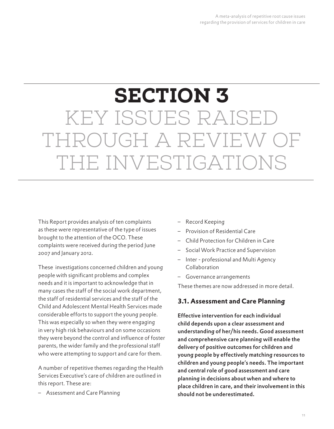## SECTION 3 KEY ISSUES RAISED THROUGH A REVIEW THE INVESTIGATIONS

This Report provides analysis of ten complaints as these were representative of the type of issues brought to the attention of the OCO. These complaints were received during the period June 2007 and January 2012.

These investigations concerned children and young people with significant problems and complex needs and it is important to acknowledge that in many cases the staff of the social work department, the staff of residential services and the staff of the Child and Adolescent Mental Health Services made considerable efforts to support the young people. This was especially so when they were engaging in very high risk behaviours and on some occasions they were beyond the control and influence of foster parents, the wider family and the professional staff who were attempting to support and care for them.

A number of repetitive themes regarding the Health Services Executive's care of children are outlined in this report. These are:

‒ Assessment and Care Planning

- ‒ Record Keeping
- ‒ Provision of Residential Care
- ‒ Child Protection for Children in Care
- ‒ Social Work Practice and Supervision
- ‒ Inter professional and Multi Agency Collaboration
- ‒ Governance arrangements

These themes are now addressed in more detail.

#### **3.1. Assessment and Care Planning**

Effective intervention for each individual child depends upon a clear assessment and understanding of her/his needs. Good assessment and comprehensive care planning will enable the delivery of positive outcomes for children and young people by effectively matching resources to children and young people's needs. The important and central role of good assessment and care planning in decisions about when and where to place children in care, and their involvement in this should not be underestimated.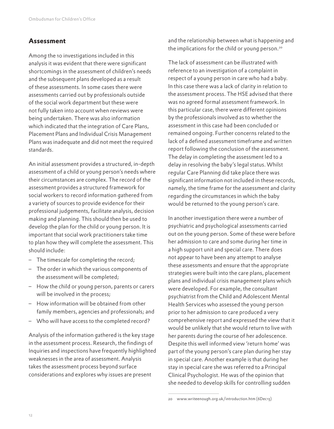#### **Assessment**

Among the 10 investigations included in this analysis it was evident that there were significant shortcomings in the assessment of children's needs and the subsequent plans developed as a result of these assessments. In some cases there were assessments carried out by professionals outside of the social work department but these were not fully taken into account when reviews were being undertaken. There was also information which indicated that the integration of Care Plans, Placement Plans and Individual Crisis Management Plans was inadequate and did not meet the required standards.

An initial assessment provides a structured, in-depth assessment of a child or young person's needs where their circumstances are complex. The record of the assessment provides a structured framework for social workers to record information gathered from a variety of sources to provide evidence for their professional judgements, facilitate analysis, decision making and planning. This should then be used to develop the plan for the child or young person. It is important that social work practitioners take time to plan how they will complete the assessment. This should include:

- The timescale for completing the record;
- ‒ The order in which the various components of the assessment will be completed;
- ‒ How the child or young person, parents or carers will be involved in the process;
- ‒ How information will be obtained from other family members, agencies and professionals; and
- Who will have access to the completed record?

Analysis of the information gathered is the key stage in the assessment process. Research, the findings of Inquiries and inspections have frequently highlighted weaknesses in the area of assessment. Analysis takes the assessment process beyond surface considerations and explores why issues are present

and the relationship between what is happening and the implications for the child or young person.<sup>20</sup>

The lack of assessment can be illustrated with reference to an investigation of a complaint in respect of a young person in care who had a baby. In this case there was a lack of clarity in relation to the assessment process. The HSE advised that there was no agreed formal assessment framework. In this particular case, there were different opinions by the professionals involved as to whether the assessment in this case had been concluded or remained ongoing. Further concerns related to the lack of a defined assessment timeframe and written report following the conclusion of the assessment. The delay in completing the assessment led to a delay in resolving the baby's legal status. Whilst regular Care Planning did take place there was significant information not included in these records, namely, the time frame for the assessment and clarity regarding the circumstances in which the baby would be returned to the young person's care.

In another investigation there were a number of psychiatric and psychological assessments carried out on the young person. Some of these were before her admission to care and some during her time in a high support unit and special care. There does not appear to have been any attempt to analyse these assessments and ensure that the appropriate strategies were built into the care plans, placement plans and individual crisis management plans which were developed. For example, the consultant psychiatrist from the Child and Adolescent Mental Health Services who assessed the young person prior to her admission to care produced a very comprehensive report and expressed the view that it would be unlikely that she would return to live with her parents during the course of her adolescence. Despite this well informed view 'return home' was part of the young person's care plan during her stay in special care. Another example is that during her stay in special care she was referred to a Principal Clinical Psychologist. He was of the opinion that she needed to develop skills for controlling sudden

<sup>20</sup> www.writeenough.org.uk/introduction.htm (6Dec13)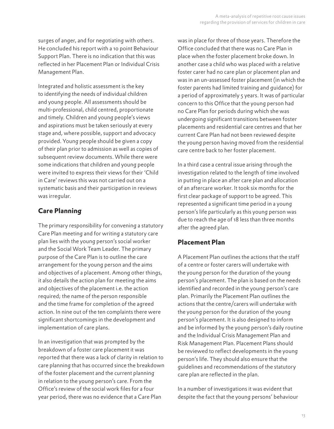surges of anger, and for negotiating with others. He concluded his report with a 10 point Behaviour Support Plan. There is no indication that this was reflected in her Placement Plan or Individual Crisis Management Plan.

Integrated and holistic assessment is the key to identifying the needs of individual children and young people. All assessments should be multi-professional, child centred, proportionate and timely. Children and young people's views and aspirations must be taken seriously at every stage and, where possible, support and advocacy provided. Young people should be given a copy of their plan prior to admission as well as copies of subsequent review documents. While there were some indications that children and young people were invited to express their views for their 'Child in Care' reviews this was not carried out on a systematic basis and their participation in reviews was irregular.

## **Care Planning**

The primary responsibility for convening a statutory Care Plan meeting and for writing a statutory care plan lies with the young person's social worker and the Social Work Team Leader. The primary purpose of the Care Plan is to outline the care arrangement for the young person and the aims and objectives of a placement. Among other things, it also details the action plan for meeting the aims and objectives of the placement i.e. the action required; the name of the person responsible and the time frame for completion of the agreed action. In nine out of the ten complaints there were significant shortcomings in the development and implementation of care plans.

In an investigation that was prompted by the breakdown of a foster care placement it was reported that there was a lack of clarity in relation to care planning that has occurred since the breakdown of the foster placement and the current planning in relation to the young person's care. From the Office's review of the social work files for a four year period, there was no evidence that a Care Plan

was in place for three of those years. Therefore the Office concluded that there was no Care Plan in place when the foster placement broke down. In another case a child who was placed with a relative foster carer had no care plan or placement plan and was in an un-assessed foster placement (in which the foster parents had limited training and guidance) for a period of approximately 5 years. It was of particular concern to this Office that the young person had no Care Plan for periods during which she was undergoing significant transitions between foster placements and residential care centres and that her current Care Plan had not been reviewed despite the young person having moved from the residential care centre back to her foster placement.

In a third case a central issue arising through the investigation related to the length of time involved in putting in place an after care plan and allocation of an aftercare worker. It took six months for the first clear package of support to be agreed. This represented a significant time period in a young person's life particularly as this young person was due to reach the age of 18 less than three months after the agreed plan.

#### **Placement Plan**

A Placement Plan outlines the actions that the staff of a centre or foster carers will undertake with the young person for the duration of the young person's placement. The plan is based on the needs identified and recorded in the young person's care plan. Primarily the Placement Plan outlines the actions that the centre/carers will undertake with the young person for the duration of the young person's placement. It is also designed to inform and be informed by the young person's daily routine and the Individual Crisis Management Plan and Risk Management Plan. Placement Plans should be reviewed to reflect developments in the young person's life. They should also ensure that the guidelines and recommendations of the statutory care plan are reflected in the plan.

In a number of investigations it was evident that despite the fact that the young persons' behaviour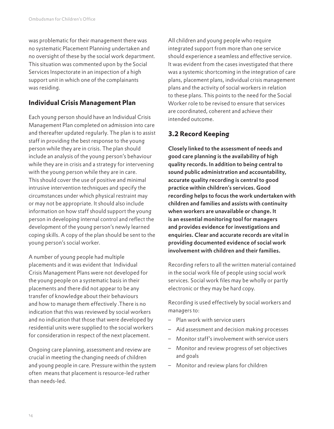was problematic for their management there was no systematic Placement Planning undertaken and no oversight of these by the social work department. This situation was commented upon by the Social Services Inspectorate in an inspection of a high support unit in which one of the complainants was residing.

#### **Individual Crisis Management Plan**

Each young person should have an Individual Crisis Management Plan completed on admission into care and thereafter updated regularly. The plan is to assist staff in providing the best response to the young person while they are in crisis. The plan should include an analysis of the young person's behaviour while they are in crisis and a strategy for intervening with the young person while they are in care. This should cover the use of positive and minimal intrusive intervention techniques and specify the circumstances under which physical restraint may or may not be appropriate. It should also include information on how staff should support the young person in developing internal control and reflect the development of the young person's newly learned coping skills. A copy of the plan should be sent to the young person's social worker.

A number of young people had multiple placements and it was evident that Individual Crisis Management Plans were not developed for the young people on a systematic basis in their placements and there did not appear to be any transfer of knowledge about their behaviours and how to manage them effectively .There is no indication that this was reviewed by social workers and no indication that those that were developed by residential units were supplied to the social workers for consideration in respect of the next placement.

Ongoing care planning, assessment and review are crucial in meeting the changing needs of children and young people in care. Pressure within the system often means that placement is resource-led rather than needs-led.

All children and young people who require integrated support from more than one service should experience a seamless and effective service. It was evident from the cases investigated that there was a systemic shortcoming in the integration of care plans, placement plans, individual crisis management plans and the activity of social workers in relation to these plans. This points to the need for the Social Worker role to be revised to ensure that services are coordinated, coherent and achieve their intended outcome.

### **3.2 Record Keeping**

Closely linked to the assessment of needs and good care planning is the availability of high quality records. In addition to being central to sound public administration and accountability, accurate quality recording is central to good practice within children's services. Good recording helps to focus the work undertaken with children and families and assists with continuity when workers are unavailable or change. It is an essential monitoring tool for managers and provides evidence for investigations and enquiries. Clear and accurate records are vital in providing documented evidence of social work involvement with children and their families.

Recording refers to all the written material contained in the social work file of people using social work services. Social work files may be wholly or partly electronic or they may be hard copy.

Recording is used effectively by social workers and managers to:

- ‒ Plan work with service users
- ‒ Aid assessment and decision making processes
- ‒ Monitor staff's involvement with service users
- ‒ Monitor and review progress of set objectives and goals
- ‒ Monitor and review plans for children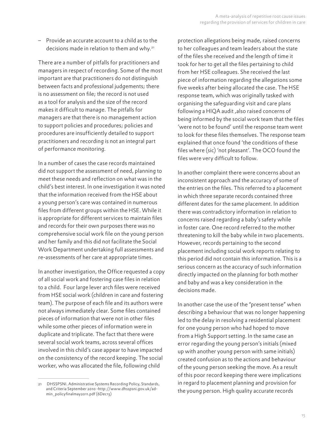‒ Provide an accurate account to a child as to the decisions made in relation to them and why.<sup>21</sup>

There are a number of pitfalls for practitioners and managers in respect of recording. Some of the most important are that practitioners do not distinguish between facts and professional judgements; there is no assessment on file; the record is not used as a tool for analysis and the size of the record makes it difficult to manage. The pitfalls for managers are that there is no management action to support policies and procedures; policies and procedures are insufficiently detailed to support practitioners and recording is not an integral part of performance monitoring.

In a number of cases the case records maintained did not support the assessment of need, planning to meet these needs and reflection on what was in the child's best interest. In one investigation it was noted that the information received from the HSE about a young person's care was contained in numerous files from different groups within the HSE. While it is appropriate for different services to maintain files and records for their own purposes there was no comprehensive social work file on the young person and her family and this did not facilitate the Social Work Department undertaking full assessments and re-assessments of her care at appropriate times.

In another investigation, the Office requested a copy of all social work and fostering case files in relation to a child. Four large lever arch files were received from HSE social work (children in care and fostering team). The purpose of each file and its authors were not always immediately clear. Some files contained pieces of information that were not in other files while some other pieces of information were in duplicate and triplicate. The fact that there were several social work teams, across several offices involved in this child's case appear to have impacted on the consistency of the record keeping. The social worker, who was allocated the file, following child

protection allegations being made, raised concerns to her colleagues and team leaders about the state of the files she received and the length of time it took for her to get all the files pertaining to child from her HSE colleagues. She received the last piece of information regarding the allegations some five weeks after being allocated the case. The HSE response team, which was originally tasked with organising the safeguarding visit and care plans following a HIQA audit ,also raised concerns of being informed by the social work team that the files 'were not to be found' until the response team went to look for these files themselves. The response team explained that once found 'the conditions of these files where (sic) 'not pleasant'. The OCO found the files were very difficult to follow.

In another complaint there were concerns about an inconsistent approach and the accuracy of some of the entries on the files. This referred to a placement in which three separate records contained three different dates for the same placement. In addition there was contradictory information in relation to concerns raised regarding a baby's safety while in foster care. One record referred to the mother threatening to kill the baby while in two placements. However, records pertaining to the second placement including social work reports relating to this period did not contain this information. This is a serious concern as the accuracy of such information directly impacted on the planning for both mother and baby and was a key consideration in the decisions made.

In another case the use of the "present tense" when describing a behaviour that was no longer happening led to the delay in resolving a residential placement for one young person who had hoped to move from a High Support setting. In the same case an error regarding the young person's initials (mixed up with another young person with same initials) created confusion as to the actions and behaviour of the young person seeking the move. As a result of this poor record keeping there were implications in regard to placement planning and provision for the young person. High quality accurate records

<sup>21</sup> DHSSPSNI. Administrative Systems Recording Policy, Standards, and Criteria September 2010 -http://www.dhsspsni.gov.uk/admin\_policyfinalmay2011.pdf (6Dec13)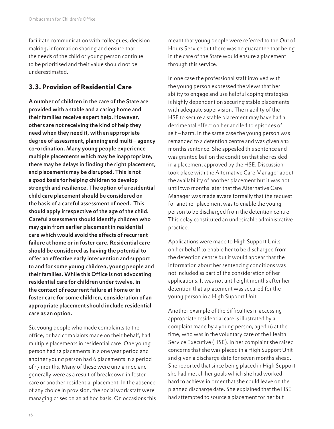facilitate communication with colleagues, decision making, information sharing and ensure that the needs of the child or young person continue to be prioritised and their value should not be underestimated.

#### **3.3. Provision of Residential Care**

A number of children in the care of the State are provided with a stable and a caring home and their families receive expert help. However, others are not receiving the kind of help they need when they need it, with an appropriate degree of assessment, planning and multi – agency co-ordination. Many young people experience multiple placements which may be inappropriate, there may be delays in finding the right placement, and placements may be disrupted. This is not a good basis for helping children to develop strength and resilience. The option of a residential child care placement should be considered on the basis of a careful assessment of need. This should apply irrespective of the age of the child. Careful assessment should identify children who may gain from earlier placement in residential care which would avoid the effects of recurrent failure at home or in foster care. Residential care should be considered as having the potential to offer an effective early intervention and support to and for some young children, young people and their families. While this Office is not advocating residential care for children under twelve, in the context of recurrent failure at home or in foster care for some children, consideration of an appropriate placement should include residential care as an option.

Six young people who made complaints to the office, or had complaints made on their behalf, had multiple placements in residential care. One young person had 12 placements in a one year period and another young person had 6 placements in a period of 17 months. Many of these were unplanned and generally were as a result of breakdown in foster care or another residential placement. In the absence of any choice in provision, the social work staff were managing crises on an ad hoc basis. On occasions this meant that young people were referred to the Out of Hours Service but there was no guarantee that being in the care of the State would ensure a placement through this service.

In one case the professional staff involved with the young person expressed the views that her ability to engage and use helpful coping strategies is highly dependent on securing stable placements with adequate supervision. The inability of the HSE to secure a stable placement may have had a detrimental effect on her and led to episodes of self – harm. In the same case the young person was remanded to a detention centre and was given a 12 months sentence. She appealed this sentence and was granted bail on the condition that she resided in a placement approved by the HSE. Discussion took place with the Alternative Care Manager about the availability of another placement but it was not until two months later that the Alternative Care Manager was made aware formally that the request for another placement was to enable the young person to be discharged from the detention centre. This delay constituted an undesirable administrative practice.

Applications were made to High Support Units on her behalf to enable her to be discharged from the detention centre but it would appear that the information about her sentencing conditions was not included as part of the consideration of her applications. It was not until eight months after her detention that a placement was secured for the young person in a High Support Unit.

Another example of the difficulties in accessing appropriate residential care is illustrated by a complaint made by a young person, aged 16 at the time, who was in the voluntary care of the Health Service Executive (HSE). In her complaint she raised concerns that she was placed in a High Support Unit and given a discharge date for seven months ahead. She reported that since being placed in High Support she had met all her goals which she had worked hard to achieve in order that she could leave on the planned discharge date. She explained that the HSE had attempted to source a placement for her but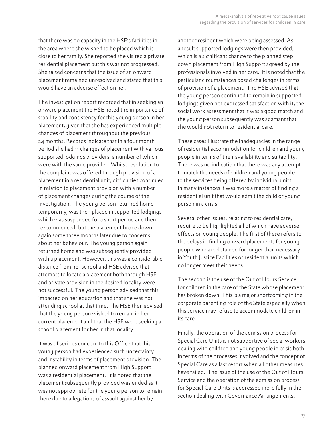that there was no capacity in the HSE's facilities in the area where she wished to be placed which is close to her family. She reported she visited a private residential placement but this was not progressed. She raised concerns that the issue of an onward placement remained unresolved and stated that this would have an adverse effect on her.

The investigation report recorded that in seeking an onward placement the HSE noted the importance of stability and consistency for this young person in her placement, given that she has experienced multiple changes of placement throughout the previous 24 months. Records indicate that in a four month period she had 11 changes of placement with various supported lodgings providers, a number of which were with the same provider. Whilst resolution to the complaint was offered through provision of a placement in a residential unit, difficulties continued in relation to placement provision with a number of placement changes during the course of the investigation. The young person returned home temporarily, was then placed in supported lodgings which was suspended for a short period and then re-commenced, but the placement broke down again some three months later due to concerns about her behaviour. The young person again returned home and was subsequently provided with a placement. However, this was a considerable distance from her school and HSE advised that attempts to locate a placement both through HSE and private provision in the desired locality were not successful. The young person advised that this impacted on her education and that she was not attending school at that time. The HSE then advised that the young person wished to remain in her current placement and that the HSE were seeking a school placement for her in that locality.

It was of serious concern to this Office that this young person had experienced such uncertainty and instability in terms of placement provision. The planned onward placement from High Support was a residential placement. It is noted that the placement subsequently provided was ended as it was not appropriate for the young person to remain there due to allegations of assault against her by

another resident which were being assessed. As a result supported lodgings were then provided, which is a significant change to the planned step down placement from High Support agreed by the professionals involved in her care. It is noted that the particular circumstances posed challenges in terms of provision of a placement. The HSE advised that the young person continued to remain in supported lodgings given her expressed satisfaction with it, the social work assessment that it was a good match and the young person subsequently was adamant that she would not return to residential care.

These cases illustrate the inadequacies in the range of residential accommodation for children and young people in terms of their availability and suitability. There was no indication that there was any attempt to match the needs of children and young people to the services being offered by individual units. In many instances it was more a matter of finding a residential unit that would admit the child or young person in a crisis.

Several other issues, relating to residential care, require to be highlighted all of which have adverse effects on young people. The first of these refers to the delays in finding onward placements for young people who are detained for longer than necessary in Youth Justice Facilities or residential units which no longer meet their needs.

The second is the use of the Out of Hours Service for children in the care of the State whose placement has broken down. This is a major shortcoming in the corporate parenting role of the State especially when this service may refuse to accommodate children in its care.

Finally, the operation of the admission process for Special Care Units is not supportive of social workers dealing with children and young people in crisis both in terms of the processes involved and the concept of Special Care as a last resort when all other measures have failed. The issue of the use of the Out of Hours Service and the operation of the admission process for Special Care Units is addressed more fully in the section dealing with Governance Arrangements.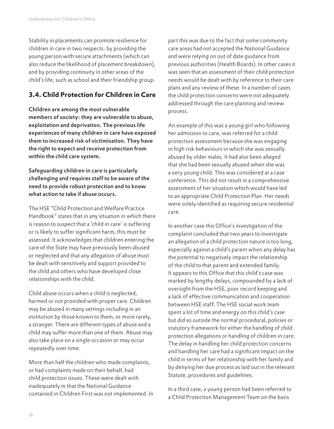Stability in placements can promote resilience for children in care in two respects: by providing the young person with secure attachments (which can also reduce the likelihood of placement breakdown), and by providing continuity in other areas of the child's life, such as school and their friendship group.

## **3.4. Child Protection for Children in Care**

Children are among the most vulnerable members of society: they are vulnerable to abuse, exploitation and deprivation. The previous life experiences of many children in care have exposed them to increased risk of victimisation. They have the right to expect and receive protection from within the child care system.

Safeguarding children in care is particularly challenging and requires staff to be aware of the need to provide robust protection and to know what action to take if abuse occurs.

The HSE "Child Protection and Welfare Practice Handbook" states that in any situation in which there is reason to suspect that a 'child in care' is suffering or is likely to suffer significant harm, this must be assessed. It acknowledges that children entering the care of the State may have previously been abused or neglected and that any allegation of abuse must be dealt with sensitively and support provided to the child and others who have developed close relationships with the child.

Child abuse occurs when a child is neglected, harmed or not provided with proper care. Children may be abused in many settings including in an institution by those known to them, or more rarely, a stranger. There are different types of abuse and a child may suffer more than one of them. Abuse may also take place on a single occasion or may occur repeatedly over time.

More than half the children who made complaints, or had complaints made on their behalf, had child protection issues. These were dealt with inadequately in that the National Guidance contained in Children First was not implemented. In part this was due to the fact that some community care areas had not accepted the National Guidance and were relying on out of date guidance from previous authorities (Health Boards). In other cases it was seen that an assessment of their child protection needs would be dealt with by reference to their care plans and any review of these. In a number of cases the child protection concerns were not adequately addressed through the care planning and review process.

An example of this was a young girl who following her admission to care, was referred for a child protection assessment because she was engaging in high risk behaviours in which she was sexually abused by older males. It had also been alleged that she had been sexually abused when she was a very young child. This was considered at a case conference. This did not result in a comprehensive assessment of her situation which would have led to an appropriate Child Protection Plan. Her needs were solely identified as requiring secure residential care.

In another case this Office's investigation of the complaint concluded that two years to investigate an allegation of a child protection nature is too long, especially against a child's parent when any delay has the potential to negatively impact the relationship of the child to that parent and extended family. It appears to this Office that this child's case was marked by lengthy delays, compounded by a lack of oversight from the HSE, poor record keeping and a lack of effective communication and cooperation between HSE staff. The HSE social work team spent a lot of time and energy on this child's case but did so outside the normal procedural, policies or statutory framework for either the handling of child protection allegations or handling of children in care. The delay in handling her child protection concerns and handling her care had a significant impact on the child in terms of her relationship with her family and by denying her due process as laid out in the relevant Statute, procedures and guidelines.

In a third case, a young person had been referred to a Child Protection Management Team on the basis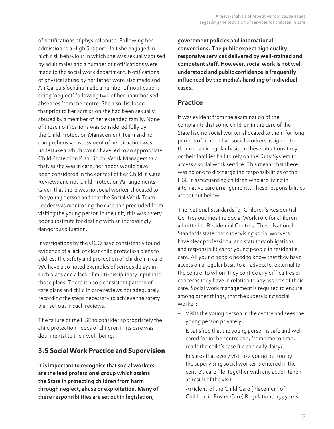of notifications of physical abuse. Following her admission to a High Support Unit she engaged in high risk behaviour in which she was sexually abused by adult males and a number of notifications were made to the social work department. Notifications of physical abuse by her father were also made and An Garda Síochána made a number of notifications citing 'neglect' following two of her unauthorised absences from the centre. She also disclosed that prior to her admission she had been sexually abused by a member of her extended family. None of these notifications was considered fully by the Child Protection Management Team and no comprehensive assessment of her situation was undertaken which would have led to an appropriate Child Protection Plan. Social Work Managers said that, as she was in care, her needs would have been considered in the context of her Child in Care Reviews and not Child Protection Arrangements. Given that there was no social worker allocated to the young person and that the Social Work Team Leader was monitoring the case and precluded from visiting the young person in the unit, this was a very poor substitute for dealing with an increasingly dangerous situation.

Investigations by the OCO have consistently found evidence of a lack of clear child protection plans to address the safety and protection of children in care. We have also noted examples of serious delays in such plans and a lack of multi-disciplinary input into those plans. There is also a consistent pattern of care plans and child in care reviews not adequately recording the steps necessary to achieve the safety plan set out in such reviews.

The failure of the HSE to consider appropriately the child protection needs of children in its care was detrimental to their well-being.

## **3.5 Social Work Practice and Supervision**

It is important to recognise that social workers are the lead professional group which assists the State in protecting children from harm through neglect, abuse or exploitation. Many of these responsibilities are set out in legislation,

government policies and international conventions. The public expect high quality responsive services delivered by well-trained and competent staff. However, social work is not well understood and public confidence is frequently influenced by the media's handling of individual cases.

#### **Practice**

It was evident from the examination of the complaints that some children in the care of the State had no social worker allocated to them for long periods of time or had social workers assigned to them on an irregular basis. In these situations they or their families had to rely on the Duty System to access a social work service. This meant that there was no one to discharge the responsibilities of the HSE in safeguarding children who are living in alternative care arrangements. These responsibilities are set out below.

The National Standards for Children's Residential Centres outlines the Social Work role for children admitted to Residential Centres. These National Standards state that supervising social workers have clear professional and statutory obligations and responsibilities for young people in residential care. All young people need to know that they have access on a regular basis to an advocate, external to the centre, to whom they confide any difficulties or concerns they have in relation to any aspects of their care. Social work management is required to ensure, among other things, that the supervising social worker:

- ‒ Visits the young person in the centre and sees the young person privately;
- Is satisfied that the young person is safe and well cared for in the centre and, from time to time, reads the child's case file and daily dairy;
- ‒ Ensures that every visit to a young person by the supervising social worker is entered in the centre's care file, together with any action taken as result of the visit.
- ‒ Article 17 of the Child Care (Placement of Children in Foster Care) Regulations, 1995 sets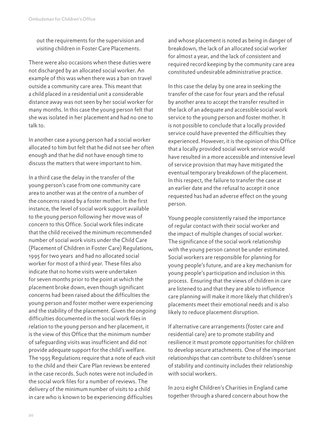out the requirements for the supervision and visiting children in Foster Care Placements.

There were also occasions when these duties were not discharged by an allocated social worker. An example of this was when there was a ban on travel outside a community care area. This meant that a child placed in a residential unit a considerable distance away was not seen by her social worker for many months. In this case the young person felt that she was isolated in her placement and had no one to talk to.

In another case a young person had a social worker allocated to him but felt that he did not see her often enough and that he did not have enough time to discuss the matters that were important to him.

In a third case the delay in the transfer of the young person's case from one community care area to another was at the centre of a number of the concerns raised by a foster mother. In the first instance, the level of social work support available to the young person following her move was of concern to this Office. Social work files indicate that the child received the minimum recommended number of social work visits under the Child Care (Placement of Children in Foster Care) Regulations, 1995 for two years and had no allocated social worker for most of a third year. These files also indicate that no home visits were undertaken for seven months prior to the point at which the placement broke down, even though significant concerns had been raised about the difficulties the young person and foster mother were experiencing and the stability of the placement. Given the ongoing difficulties documented in the social work files in relation to the young person and her placement, it is the view of this Office that the minimum number of safeguarding visits was insufficient and did not provide adequate support for the child's welfare. The 1995 Regulations require that a note of each visit to the child and their Care Plan reviews be entered in the case records. Such notes were not included in the social work files for a number of reviews. The delivery of the minimum number of visits to a child in care who is known to be experiencing difficulties

and whose placement is noted as being in danger of breakdown, the lack of an allocated social worker for almost a year, and the lack of consistent and required record keeping by the community care area constituted undesirable administrative practice.

In this case the delay by one area in seeking the transfer of the case for four years and the refusal by another area to accept the transfer resulted in the lack of an adequate and accessible social work service to the young person and foster mother. It is not possible to conclude that a locally provided service could have prevented the difficulties they experienced. However, it is the opinion of this Office that a locally provided social work service would have resulted in a more accessible and intensive level of service provision that may have mitigated the eventual temporary breakdown of the placement. In this respect, the failure to transfer the case at an earlier date and the refusal to accept it once requested has had an adverse effect on the young person.

Young people consistently raised the importance of regular contact with their social worker and the impact of multiple changes of social worker. The significance of the social work relationship with the young person cannot be under estimated. Social workers are responsible for planning for young people's future, and are a key mechanism for young people's participation and inclusion in this process. Ensuring that the views of children in care are listened to and that they are able to influence care planning will make it more likely that children's placements meet their emotional needs and is also likely to reduce placement disruption.

If alternative care arrangements (foster care and residential care) are to promote stability and resilience it must promote opportunities for children to develop secure attachments. One of the important relationships that can contribute to children's sense of stability and continuity includes their relationship with social workers.

In 2012 eight Children's Charities in England came together through a shared concern about how the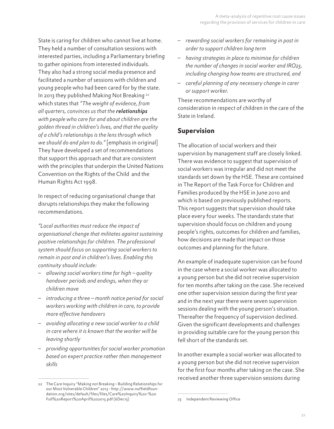State is caring for children who cannot live at home. They held a number of consultation sessions with interested parties, including a Parliamentary briefing to gather opinions from interested individuals. They also had a strong social media presence and facilitated a number of sessions with children and young people who had been cared for by the state. In 2013 they published Making Not Breaking 22 which states that *"The weight of evidence, from all quarters, convinces us that the relationships with people who care for and about children are the golden thread in children's lives, and that the quality of a child's relationships is the lens through which we should do and plan to do."* [emphasis in original] They have developed a set of recommendations that support this approach and that are consistent with the principles that underpin the United Nations Convention on the Rights of the Child and the Human Rights Act 1998.

In respect of reducing organisational change that disrupts relationships they make the following recommendations.

*"Local authorities must reduce the impact of organisational change that militates against sustaining positive relationships for children. The professional system should focus on supporting social workers to remain in post and in children's lives. Enabling this continuity should include:*

- ‒ *allowing social workers time for high quality handover periods and endings, when they or children move*
- ‒ *introducing a three month notice period for social workers working with children in care, to provide more effective handovers*
- ‒ *avoiding allocating a new social worker to a child in care where it is known that the worker will be leaving shortly*
- ‒ *providing opportunities for social worker promotion based on expert practice rather than management skills*
- ‒ *rewarding social workers for remaining in post in order to support children long term*
- ‒ *having strategies in place to minimise for children the number of changes in social worker and IRO23, including changing how teams are structured, and*
- ‒ *careful planning of any necessary change in carer or support worker.*

These recommendations are worthy of consideration in respect of children in the care of the State in Ireland.

#### **Supervision**

The allocation of social workers and their supervision by management staff are closely linked. There was evidence to suggest that supervision of social workers was irregular and did not meet the standards set down by the HSE. These are contained in The Report of the Task Force for Children and Families produced by the HSE in June 2010 and which is based on previously published reports. This report suggests that supervision should take place every four weeks. The standards state that supervision should focus on children and young people's rights, outcomes for children and families, how decisions are made that impact on those outcomes and planning for the future.

An example of inadequate supervision can be found in the case where a social worker was allocated to a young person but she did not receive supervision for ten months after taking on the case. She received one other supervision session during the first year and in the next year there were seven supervision sessions dealing with the young person's situation. Thereafter the frequency of supervision declined. Given the significant developments and challenges in providing suitable care for the young person this fell short of the standards set.

In another example a social worker was allocated to a young person but she did not receive supervision for the first four months after taking on the case. She received another three supervision sessions during

<sup>22</sup> The Care Inquiry "Making not Breaking – Building Relationships for our Most Vulnerable Children" 2013 - http://www.nuffieldfoundation.org/sites/default/files/files/Care%20Inquiry%20-%20 Full%20Report%20April%202013.pdf (6Dec13)

<sup>23</sup> Independent Reviewing Office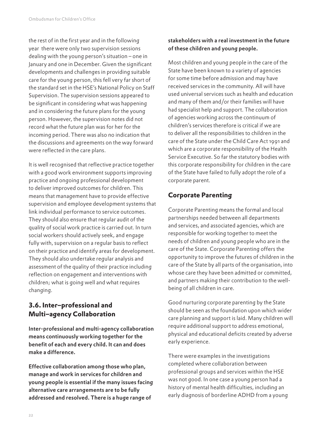the rest of in the first year and in the following year there were only two supervision sessions dealing with the young person's situation – one in January and one in December. Given the significant developments and challenges in providing suitable care for the young person, this fell very far short of the standard set in the HSE's National Policy on Staff Supervision. The supervision sessions appeared to be significant in considering what was happening and in considering the future plans for the young person. However, the supervision notes did not record what the future plan was for her for the incoming period. There was also no indication that the discussions and agreements on the way forward were reflected in the care plans.

It is well recognised that reflective practice together with a good work environment supports improving practice and ongoing professional development to deliver improved outcomes for children. This means that management have to provide effective supervision and employee development systems that link individual performance to service outcomes. They should also ensure that regular audit of the quality of social work practice is carried out. In turn social workers should actively seek, and engage fully with, supervision on a regular basis to reflect on their practice and identify areas for development. They should also undertake regular analysis and assessment of the quality of their practice including reflection on engagement and interventions with children; what is going well and what requires changing.

### **3.6. Inter–professional and Multi–agency Collaboration**

Inter-professional and multi-agency collaboration means continuously working together for the benefit of each and every child. It can and does make a difference.

Effective collaboration among those who plan, manage and work in services for children and young people is essential if the many issues facing alternative care arrangements are to be fully addressed and resolved. There is a huge range of

#### stakeholders with a real investment in the future of these children and young people.

Most children and young people in the care of the State have been known to a variety of agencies for some time before admission and may have received services in the community. All will have used universal services such as health and education and many of them and/or their families will have had specialist help and support. The collaboration of agencies working across the continuum of children's services therefore is critical if we are to deliver all the responsibilities to children in the care of the State under the Child Care Act 1991 and which are a corporate responsibility of the Health Service Executive. So far the statutory bodies with this corporate responsibility for children in the care of the State have failed to fully adopt the role of a corporate parent.

#### **Corporate Parenting**

Corporate Parenting means the formal and local partnerships needed between all departments and services, and associated agencies, which are responsible for working together to meet the needs of children and young people who are in the care of the State. Corporate Parenting offers the opportunity to improve the futures of children in the care of the State by all parts of the organisation, into whose care they have been admitted or committed, and partners making their contribution to the wellbeing of all children in care.

Good nurturing corporate parenting by the State should be seen as the foundation upon which wider care planning and support is laid. Many children will require additional support to address emotional, physical and educational deficits created by adverse early experience.

There were examples in the investigations completed where collaboration between professional groups and services within the HSE was not good. In one case a young person had a history of mental health difficulties, including an early diagnosis of borderline ADHD from a young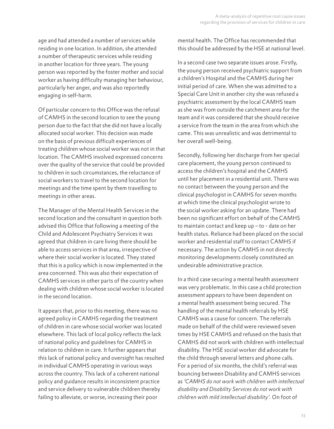age and had attended a number of services while residing in one location. In addition, she attended a number of therapeutic services while residing in another location for three years. The young person was reported by the foster mother and social worker as having difficulty managing her behaviour, particularly her anger, and was also reportedly engaging in self-harm.

Of particular concern to this Office was the refusal of CAMHS in the second location to see the young person due to the fact that she did not have a locally allocated social worker. This decision was made on the basis of previous difficult experiences of treating children whose social worker was not in that location. The CAMHS involved expressed concerns over the quality of the service that could be provided to children in such circumstances, the reluctance of social workers to travel to the second location for meetings and the time spent by them travelling to meetings in other areas.

The Manager of the Mental Health Services in the second location and the consultant in question both advised this Office that following a meeting of the Child and Adolescent Psychiatry Services it was agreed that children in care living there should be able to access services in that area, irrespective of where their social worker is located. They stated that this is a policy which is now implemented in the area concerned. This was also their expectation of CAMHS services in other parts of the country when dealing with children whose social worker is located in the second location.

It appears that, prior to this meeting, there was no agreed policy in CAMHS regarding the treatment of children in care whose social worker was located elsewhere. This lack of local policy reflects the lack of national policy and guidelines for CAMHS in relation to children in care. It further appears that this lack of national policy and oversight has resulted in individual CAMHS operating in various ways across the country. This lack of a coherent national policy and guidance results in inconsistent practice and service delivery to vulnerable children thereby failing to alleviate, or worse, increasing their poor

mental health. The Office has recommended that this should be addressed by the HSE at national level.

In a second case two separate issues arose. Firstly, the young person received psychiatric support from a children's Hospital and the CAMHS during her initial period of care. When she was admitted to a Special Care Unit in another city she was refused a psychiatric assessment by the local CAMHS team as she was from outside the catchment area for the team and it was considered that she should receive a service from the team in the area from which she came. This was unrealistic and was detrimental to her overall well-being.

Secondly, following her discharge from her special care placement, the young person continued to access the children's hospital and the CAMHS until her placement in a residential unit. There was no contact between the young person and the clinical psychologist in CAMHS for seven months at which time the clinical psychologist wrote to the social worker asking for an update. There had been no significant effort on behalf of the CAMHS to maintain contact and keep up – to - date on her health status. Reliance had been placed on the social worker and residential staff to contact CAMHS if necessary. The action by CAMHS in not directly monitoring developments closely constituted an undesirable administrative practice.

In a third case securing a mental health assessment was very problematic. In this case a child protection assessment appears to have been dependent on a mental health assessment being secured. The handling of the mental health referrals by HSE CAMHS was a cause for concern. The referrals made on behalf of the child were reviewed seven times by HSE CAMHS and refused on the basis that CAMHS did not work with children with intellectual disability. The HSE social worker did advocate for the child through several letters and phone calls. For a period of six months, the child's referral was bouncing between Disability and CAMHS services as *'CAMHS do not work with children with intellectual disability and Disability Services do not work with children with mild intellectual disability'.* On foot of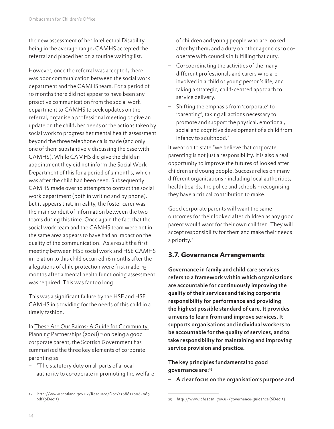the new assessment of her Intellectual Disability being in the average range, CAMHS accepted the referral and placed her on a routine waiting list.

However, once the referral was accepted, there was poor communication between the social work department and the CAMHS team. For a period of 10 months there did not appear to have been any proactive communication from the social work department to CAMHS to seek updates on the referral, organise a professional meeting or give an update on the child, her needs or the actions taken by social work to progress her mental health assessment beyond the three telephone calls made (and only one of them substantively discussing the case with CAMHS). While CAMHS did give the child an appointment they did not inform the Social Work Department of this for a period of 2 months, which was after the child had been seen. Subsequently CAMHS made over 10 attempts to contact the social work department (both in writing and by phone), but it appears that, in reality, the foster carer was the main conduit of information between the two teams during this time. Once again the fact that the social work team and the CAMHS team were not in the same area appears to have had an impact on the quality of the communication. As a result the first meeting between HSE social work and HSE CAMHS in relation to this child occurred 16 months after the allegations of child protection were first made, 13 months after a mental health functioning assessment was required. This was far too long.

This was a significant failure by the HSE and HSE CAMHS in providing for the needs of this child in a timely fashion.

In These Are Our Bairns: A Guide for Community Planning Partnerships (2008)<sup>24</sup> on being a good corporate parent, the Scottish Government has summarised the three key elements of corporate parenting as:

‒ "The statutory duty on all parts of a local authority to co-operate in promoting the welfare of children and young people who are looked after by them, and a duty on other agencies to cooperate with councils in fulfilling that duty.

- ‒ Co-coordinating the activities of the many different professionals and carers who are involved in a child or young person's life, and taking a strategic, child-centred approach to service delivery.
- ‒ Shifting the emphasis from 'corporate' to 'parenting', taking all actions necessary to promote and support the physical, emotional, social and cognitive development of a child from infancy to adulthood."

It went on to state "we believe that corporate parenting is not just a responsibility. It is also a real opportunity to improve the futures of looked after children and young people. Success relies on many different organisations - including local authorities, health boards, the police and schools - recognising they have a critical contribution to make.

Good corporate parents will want the same outcomes for their looked after children as any good parent would want for their own children. They will accept responsibility for them and make their needs a priority."

#### **3.7. Governance Arrangements**

Governance in family and child care services refers to a framework within which organisations are accountable for continuously improving the quality of their services and taking corporate responsibility for performance and providing the highest possible standard of care. It provides a means to learn from and improve services. It supports organisations and individual workers to be accountable for the quality of services, and to take responsibility for maintaining and improving service provision and practice.

#### The key principles fundamental to good governance are:<sup>25</sup>

‒ A clear focus on the organisation's purpose and

<sup>24</sup> http://www.scotland.gov.uk/Resource/Doc/236882/0064989. pdf (6Dec13)

<sup>25</sup> http://www.dhsspsni.gov.uk/governance-guidance (6Dec13)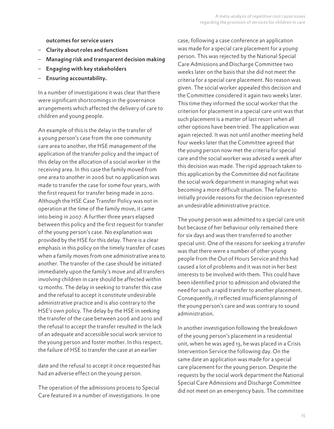outcomes for service users

- ‒ Clarity about roles and functions
- ‒ Managing risk and transparent decision making
- ‒ Engaging with key stakeholders
- ‒ Ensuring accountability.

In a number of investigations it was clear that there were significant shortcomings in the governance arrangements which affected the delivery of care to children and young people.

An example of this is the delay in the transfer of a young person's case from the one community care area to another, the HSE management of the application of the transfer policy and the impact of this delay on the allocation of a social worker in the receiving area. In this case the family moved from one area to another in 2006 but no application was made to transfer the case for some four years, with the first request for transfer being made in 2010. Although the HSE Case Transfer Policy was not in operation at the time of the family move, it came into being in 2007. A further three years elapsed between this policy and the first request for transfer of the young person's case. No explanation was provided by the HSE for this delay. There is a clear emphasis in this policy on the timely transfer of cases when a family moves from one administrative area to another. The transfer of the case should be initiated immediately upon the family's move and all transfers involving children in care should be affected within 12 months. The delay in seeking to transfer this case and the refusal to accept it constitute undesirable administrative practice and is also contrary to the HSE's own policy. The delay by the HSE in seeking the transfer of the case between 2006 and 2010 and the refusal to accept the transfer resulted in the lack of an adequate and accessible social work service to the young person and foster mother. In this respect, the failure of HSE to transfer the case at an earlier

date and the refusal to accept it once requested has had an adverse effect on the young person.

The operation of the admissions process to Special Care featured in a number of investigations. In one case, following a case conference an application was made for a special care placement for a young person. This was rejected by the National Special Care Admissions and Discharge Committee two weeks later on the basis that she did not meet the criteria for a special care placement. No reason was given. The social worker appealed this decision and the Committee considered it again two weeks later. This time they informed the social worker that the criterion for placement in a special care unit was that such placement is a matter of last resort when all other options have been tried. The application was again rejected. It was not until another meeting held four weeks later that the Committee agreed that the young person now met the criteria for special care and the social worker was advised a week after this decision was made. The rigid approach taken to this application by the Committee did not facilitate the social work department in managing what was becoming a more difficult situation. The failure to initially provide reasons for the decision represented an undesirable administrative practice.

The young person was admitted to a special care unit but because of her behaviour only remained there for six days and was then transferred to another special unit. One of the reasons for seeking a transfer was that there were a number of other young people from the Out of Hours Service and this had caused a lot of problems and it was not in her best interests to be involved with them. This could have been identified prior to admission and obviated the need for such a rapid transfer to another placement. Consequently, it reflected insufficient planning of the young person's care and was contrary to sound administration.

In another investigation following the breakdown of the young person's placement in a residential unit, when he was aged 13, he was placed in a Crisis Intervention Service the following day. On the same date an application was made for a special care placement for the young person. Despite the requests by the social work department the National Special Care Admissions and Discharge Committee did not meet on an emergency basis. The committee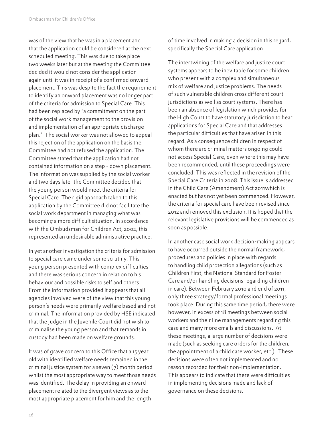was of the view that he was in a placement and that the application could be considered at the next scheduled meeting. This was due to take place two weeks later but at the meeting the Committee decided it would not consider the application again until it was in receipt of a confirmed onward placement. This was despite the fact the requirement to identify an onward placement was no longer part of the criteria for admission to Special Care. This had been replaced by "a commitment on the part of the social work management to the provision and implementation of an appropriate discharge plan." The social worker was not allowed to appeal this rejection of the application on the basis the Committee had not refused the application. The Committee stated that the application had not contained information on a step - down placement. The information was supplied by the social worker and two days later the Committee decided that the young person would meet the criteria for Special Care. The rigid approach taken to this application by the Committee did not facilitate the social work department in managing what was becoming a more difficult situation. In accordance with the Ombudsman for Children Act, 2002, this represented an undesirable administrative practice.

In yet another investigation the criteria for admission to special care came under some scrutiny. This young person presented with complex difficulties and there was serious concern in relation to his behaviour and possible risks to self and others. From the information provided it appears that all agencies involved were of the view that this young person's needs were primarily welfare based and not criminal. The information provided by HSE indicated that the Judge in the Juvenile Court did not wish to criminalise the young person and that remands in custody had been made on welfare grounds.

It was of grave concern to this Office that a 15 year old with identified welfare needs remained in the criminal justice system for a seven  $(7)$  month period whilst the most appropriate way to meet those needs was identified. The delay in providing an onward placement related to the divergent views as to the most appropriate placement for him and the length

of time involved in making a decision in this regard, specifically the Special Care application.

The intertwining of the welfare and justice court systems appears to be inevitable for some children who present with a complex and simultaneous mix of welfare and justice problems. The needs of such vulnerable children cross different court jurisdictions as well as court systems. There has been an absence of legislation which provides for the High Court to have statutory jurisdiction to hear applications for Special Care and that addresses the particular difficulties that have arisen in this regard. As a consequence children in respect of whom there are criminal matters ongoing could not access Special Care, even where this may have been recommended, until these proceedings were concluded. This was reflected in the revision of the Special Care Criteria in 2008. This issue is addressed in the Child Care (Amendment) Act 2011which is enacted but has not yet been commenced. However, the criteria for special care have been revised since 2012 and removed this exclusion. It is hoped that the relevant legislative provisions will be commenced as soon as possible.

In another case social work decision-making appears to have occurred outside the normal framework, procedures and policies in place with regards to handling child protection allegations (such as Children First, the National Standard for Foster Care and/or handling decisions regarding children in care). Between February 2010 and end of 2011, only three strategy/formal professional meetings took place. During this same time period, there were however, in excess of 18 meetings between social workers and their line managements regarding this case and many more emails and discussions. At these meetings, a large number of decisions were made (such as seeking care orders for the children, the appointment of a child care worker, etc.). These decisions were often not implemented and no reason recorded for their non-implementation. This appears to indicate that there were difficulties in implementing decisions made and lack of governance on these decisions.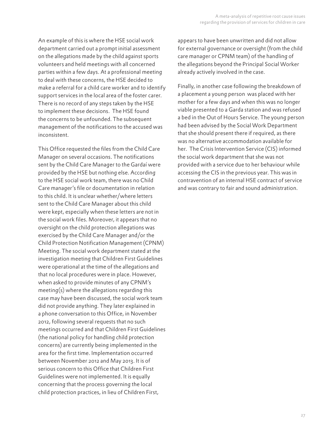An example of this is where the HSE social work department carried out a prompt initial assessment on the allegations made by the child against sports volunteers and held meetings with all concerned parties within a few days. At a professional meeting to deal with these concerns, the HSE decided to make a referral for a child care worker and to identify support services in the local area of the foster carer. There is no record of any steps taken by the HSE to implement these decisions. The HSE found the concerns to be unfounded. The subsequent management of the notifications to the accused was inconsistent.

This Office requested the files from the Child Care Manager on several occasions. The notifications sent by the Child Care Manager to the Gardaí were provided by the HSE but nothing else. According to the HSE social work team, there was no Child Care manager's file or documentation in relation to this child. It is unclear whether/where letters sent to the Child Care Manager about this child were kept, especially when these letters are not in the social work files. Moreover, it appears that no oversight on the child protection allegations was exercised by the Child Care Manager and/or the Child Protection Notification Management (CPNM) Meeting. The social work department stated at the investigation meeting that Children First Guidelines were operational at the time of the allegations and that no local procedures were in place. However, when asked to provide minutes of any CPNM's meeting(s) where the allegations regarding this case may have been discussed, the social work team did not provide anything. They later explained in a phone conversation to this Office, in November 2012, following several requests that no such meetings occurred and that Children First Guidelines (the national policy for handling child protection concerns) are currently being implemented in the area for the first time. Implementation occurred between November 2012 and May 2013. It is of serious concern to this Office that Children First Guidelines were not implemented. It is equally concerning that the process governing the local child protection practices, in lieu of Children First,

appears to have been unwritten and did not allow for external governance or oversight (from the child care manager or CPNM team) of the handling of the allegations beyond the Principal Social Worker already actively involved in the case.

Finally, in another case following the breakdown of a placement a young person was placed with her mother for a few days and when this was no longer viable presented to a Garda station and was refused a bed in the Out of Hours Service. The young person had been advised by the Social Work Department that she should present there if required, as there was no alternative accommodation available for her. The Crisis Intervention Service (CIS) informed the social work department that she was not provided with a service due to her behaviour while accessing the CIS in the previous year. This was in contravention of an internal HSE contract of service and was contrary to fair and sound administration.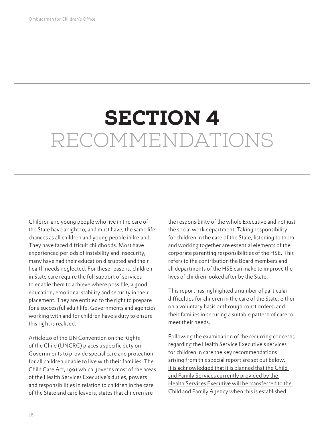# SECTION 4 RECOMMENDATIONS

Children and young people who live in the care of the State have a right to, and must have, the same life chances as all children and young people in Ireland. They have faced difficult childhoods. Most have experienced periods of instability and insecurity, many have had their education disrupted and their health needs neglected. For these reasons, children in State care require the full support of services to enable them to achieve where possible, a good education, emotional stability and security in their placement. They are entitled to the right to prepare for a successful adult life. Governments and agencies working with and for children have a duty to ensure this right is realised.

Article 20 of the UN Convention on the Rights of the Child (UNCRC) places a specific duty on Governments to provide special care and protection for all children unable to live with their families. The Child Care Act, 1991 which governs most of the areas of the Health Services Executive's duties, powers and responsibilities in relation to children in the care of the State and care leavers, states that children are

the responsibility of the whole Executive and not just the social work department. Taking responsibility for children in the care of the State, listening to them and working together are essential elements of the corporate parenting responsibilities of the HSE. This refers to the contribution the Board members and all departments of the HSE can make to improve the lives of children looked after by the State.

This report has highlighted a number of particular difficulties for children in the care of the State, either on a voluntary basis or through court orders, and their families in securing a suitable pattern of care to meet their needs.

Following the examination of the recurring concerns regarding the Health Service Executive's services for children in care the key recommendations arising from this special report are set out below. It is acknowledged that it is planned that the Child and Family Services currently provided by the Health Services Executive will be transferred to the Child and Family Agency when this is established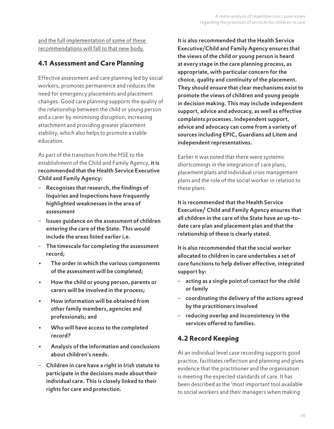and the full implementation of some of these recommendations will fall to that new body.

## **4.1 Assessment and Care Planning**

Effective assessment and care planning led by social workers, promotes permanence and reduces the need for emergency placements and placement changes. Good care planning supports the quality of the relationship between the child or young person and a carer by minimising disruption, increasing attachment and providing greater placement stability, which also helps to promote a stable education.

As part of the transition from the HSE to the establishment of the Child and Family Agency, it is recommended that the Health Service Executive Child and Family Agency:

- ‒ Recognises that research, the findings of Inquiries and Inspections have frequently highlighted weaknesses in the area of assessment
- ‒ Issues guidance on the assessment of children entering the care of the State. This would include the areas listed earlier i.e.
- ‒ The timescale for completing the assessment record;
- The order in which the various components of the assessment will be completed;
- How the child or young person, parents or carers will be involved in the process;
- How information will be obtained from other family members, agencies and professionals; and
- Who will have access to the completed record?
- Analysis of the information and conclusions about children's needs.
- ‒ Children in care have a right in Irish statute to participate in the decisions made about their individual care. This is closely linked to their rights for care and protection.

It is also recommended that the Health Service Executive/Child and Family Agency ensures that the views of the child or young person is heard at every stage in the care planning process, as appropriate, with particular concern for the choice, quality and continuity of the placement. They should ensure that clear mechanisms exist to promote the views of children and young people in decision making. This may include independent support, advice and advocacy, as well as effective complaints processes. Independent support, advice and advocacy can come from a variety of sources including EPIC, Guardians ad Litem and independent representatives.

Earlier it was noted that there were systemic shortcomings in the integration of care plans, placement plans and individual crisis management plans and the role of the social worker in relation to these plans.

It is recommended that the Health Service Executive/ Child and Family Agency ensures that all children in the care of the State have an up-todate care plan and placement plan and that the relationship of these is clearly stated.

It is also recommended that the social worker allocated to children in care undertakes a set of core functions to help deliver effective, integrated support by:

- ‒ acting as a single point of contact for the child or family
- ‒ coordinating the delivery of the actions agreed by the practitioners involved
- ‒ reducing overlap and inconsistency in the services offered to families.

#### **4.2 Record Keeping**

At an individual level case recording supports good practice, facilitates reflection and planning and gives evidence that the practitioner and the organisation is meeting the expected standards of care. It has been described as the 'most important tool available to social workers and their managers when making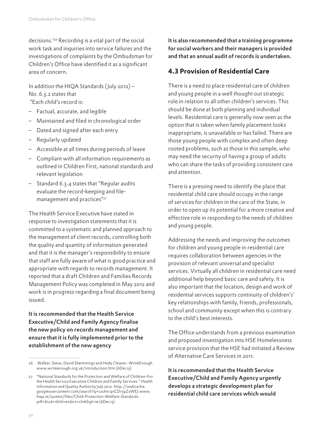decisions.'26 Recording is a vital part of the social work task and inquiries into service failures and the investigations of complaints by the Ombudsman for Children's Office have identified it as a significant area of concern.

In addition the HIQA Standards (July 2012) – No. 6.3.2 states that "Each child's record is:

- ‒ Factual, accurate, and legible
- ‒ Maintained and filed in chronological order
- Dated and signed after each entry
- ‒ Regularly updated
- ‒ Accessible at all times during periods of leave
- ‒ Compliant with all information requirements as outlined in Children First, national standards and relevant legislation
- ‒ Standard 6.3.4 states that "Regular audits evaluate the record-keeping and filemanagement and practices"<sup>27</sup>

The Health Service Executive have stated in response to investigation statements that it is committed to a systematic and planned approach to the management of client records, controlling both the quality and quantity of information generated and that it is the manager's responsibility to ensure that staff are fully aware of what is good practice and appropriate with regards to records management. It reported that a draft Children and Families Records Management Policy was completed in May 2012 and work is in progress regarding a final document being issued.

It is recommended that the Health Service Executive/Child and Family Agency finalise the new policy on records management and ensure that it is fully implemented prior to the establishment of the new agency

It is also recommended that a training programme for social workers and their managers is provided and that an annual audit of records is undertaken.

### **4.3 Provision of Residential Care**

There is a need to place residential care of children and young people in a well thought out strategic role in relation to all other children's services. This should be done at both planning and individual levels. Residential care is generally now seen as the option that is taken when family placement looks inappropriate, is unavailable or has failed. There are those young people with complex and often deep rooted problems, such as those in this sample, who may need the security of having a group of adults who can share the tasks of providing consistent care and attention.

There is a pressing need to identify the place that residential child care should occupy in the range of services for children in the care of the State, in order to open up its potential for a more creative and effective role in responding to the needs of children and young people.

Addressing the needs and improving the outcomes for children and young people in residential care requires collaboration between agencies in the provision of relevant universal and specialist services. Virtually all children in residential care need additional help beyond basic care and safety. It is also important that the location, design and work of residential services supports continuity of children's' key relationships with family, friends, professionals, school and community except when this is contrary to the child's best interests.

The Office understands from a previous examination and proposed investigation into HSE Homelessness service provision that the HSE had initiated a Review of Alternative Care Services in 2011.

It is recommended that the Health Service Executive/Child and Family Agency urgently develops a strategic development plan for residential child care services which would

<sup>26</sup> Walker, Steve, David Shemmings and Hedy Cleaver: WriteEnough www.writeenough.org.uk/introduction.htm (6Dec13)

<sup>27</sup> "National Standards for the Protection and Welfare of Children-For the Health Service Executive Children and Family Services." Health Information and Quality Authority July 2012 -http://webcache. googleusercontent.com/search?q=cache:9xCDr59ZxWEJ:www. hiqa.ie/system/files/Child-Protection-Welfare-Standards. pdf+&cd=1&hl=en&ct=clnk&gl=ie (6Dec13)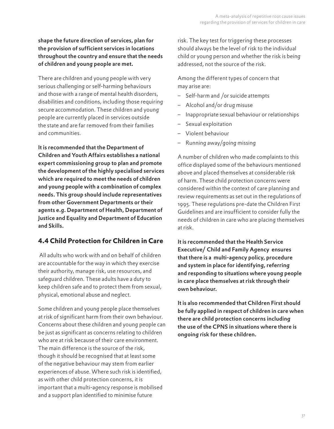#### shape the future direction of services, plan for the provision of sufficient services in locations throughout the country and ensure that the needs of children and young people are met.

There are children and young people with very serious challenging or self-harming behaviours and those with a range of mental health disorders, disabilities and conditions, including those requiring secure accommodation. These children and young people are currently placed in services outside the state and are far removed from their families and communities.

It is recommended that the Department of Children and Youth Affairs establishes a national expert commissioning group to plan and promote the development of the highly specialised services which are required to meet the needs of children and young people with a combination of complex needs. This group should include representatives from other Government Departments or their agents e.g. Department of Health, Department of Justice and Equality and Department of Education and Skills.

## **4.4 Child Protection for Children in Care**

 All adults who work with and on behalf of children are accountable for the way in which they exercise their authority, manage risk, use resources, and safeguard children. These adults have a duty to keep children safe and to protect them from sexual, physical, emotional abuse and neglect.

Some children and young people place themselves at risk of significant harm from their own behaviour. Concerns about these children and young people can be just as significant as concerns relating to children who are at risk because of their care environment. The main difference is the source of the risk, though it should be recognised that at least some of the negative behaviour may stem from earlier experiences of abuse. Where such risk is identified, as with other child protection concerns, it is important that a multi-agency response is mobilised and a support plan identified to minimise future

risk. The key test for triggering these processes should always be the level of risk to the individual child or young person and whether the risk is being addressed, not the source of the risk.

Among the different types of concern that may arise are:

- ‒ Self-harm and /or suicide attempts
- ‒ Alcohol and/or drug misuse
- ‒ Inappropriate sexual behaviour or relationships
- ‒ Sexual exploitation
- ‒ Violent behaviour
- $-$  Running away/going missing

A number of children who made complaints to this office displayed some of the behaviours mentioned above and placed themselves at considerable risk of harm. These child protection concerns were considered within the context of care planning and review requirements as set out in the regulations of 1995. These regulations pre-date the Children First Guidelines and are insufficient to consider fully the needs of children in care who are placing themselves at risk.

It is recommended that the Health Service Executive/ Child and Family Agency ensures that there is a multi-agency policy, procedure and system in place for identifying, referring and responding to situations where young people in care place themselves at risk through their own behaviour.

It is also recommended that Children First should be fully applied in respect of children in care when there are child protection concerns including the use of the CPNS in situations where there is ongoing risk for these children.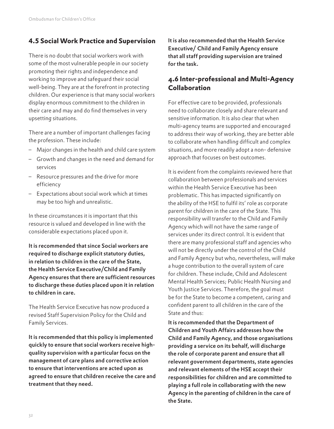### **4.5 Social Work Practice and Supervision**

There is no doubt that social workers work with some of the most vulnerable people in our society promoting their rights and independence and working to improve and safeguard their social well-being. They are at the forefront in protecting children. Our experience is that many social workers display enormous commitment to the children in their care and may and do find themselves in very upsetting situations.

There are a number of important challenges facing the profession. These include:

- ‒ Major changes in the health and child care system
- ‒ Growth and changes in the need and demand for services
- ‒ Resource pressures and the drive for more efficiency
- ‒ Expectations about social work which at times may be too high and unrealistic.

In these circumstances it is important that this resource is valued and developed in line with the considerable expectations placed upon it.

It is recommended that since Social workers are required to discharge explicit statutory duties, in relation to children in the care of the State, the Health Service Executive/Child and Family Agency ensures that there are sufficient resources to discharge these duties placed upon it in relation to children in care.

The Health Service Executive has now produced a revised Staff Supervision Policy for the Child and Family Services.

It is recommended that this policy is implemented quickly to ensure that social workers receive highquality supervision with a particular focus on the management of care plans and corrective action to ensure that interventions are acted upon as agreed to ensure that children receive the care and treatment that they need.

It is also recommended that the Health Service Executive/ Child and Family Agency ensure that all staff providing supervision are trained for the task.

#### **4.6 Inter-professional and Multi-Agency Collaboration**

For effective care to be provided, professionals need to collaborate closely and share relevant and sensitive information. It is also clear that when multi-agency teams are supported and encouraged to address their way of working, they are better able to collaborate when handling difficult and complex situations, and more readily adopt a non- defensive approach that focuses on best outcomes.

It is evident from the complaints reviewed here that collaboration between professionals and services within the Health Service Executive has been problematic. This has impacted significantly on the ability of the HSE to fulfil its' role as corporate parent for children in the care of the State. This responsibility will transfer to the Child and Family Agency which will not have the same range of services under its direct control. It is evident that there are many professional staff and agencies who will not be directly under the control of the Child and Family Agency but who, nevertheless, will make a huge contribution to the overall system of care for children. These include, Child and Adolescent Mental Health Services; Public Health Nursing and Youth Justice Services. Therefore, the goal must be for the State to become a competent, caring and confident parent to all children in the care of the State and thus:

It is recommended that the Department of Children and Youth Affairs addresses how the Child and Family Agency, and those organisations providing a service on its behalf, will discharge the role of corporate parent and ensure that all relevant government departments, state agencies and relevant elements of the HSE accept their responsibilities for children and are committed to playing a full role in collaborating with the new Agency in the parenting of children in the care of the State.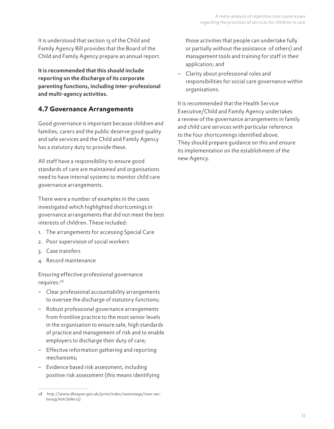It is understood that section 13 of the Child and Family Agency Bill provides that the Board of the Child and Family Agency prepare an annual report.

It is recommended that this should include reporting on the discharge of its corporate parenting functions, including inter-professional and multi-agency activities.

## **4.7 Governance Arrangements**

Good governance is important because children and families, carers and the public deserve good quality and safe services and the Child and Family Agency has a statutory duty to provide these.

All staff have a responsibility to ensure good standards of care are maintained and organisations need to have internal systems to monitor child care governance arrangements.

There were a number of examples in the cases investigated which highlighted shortcomings in governance arrangements that did not meet the best interests of children. These included:

- 1. The arrangements for accessing Special Care
- 2. Poor supervision of social workers
- 3. Case transfers
- 4. Record maintenance

Ensuring effective professional governance requires:<sup>28</sup>

- ‒ Clear professional accountability arrangements to oversee the discharge of statutory functions;
- ‒ Robust professional governance arrangements from frontline practice to the most senior levels in the organisation to ensure safe, high standards of practice and management of risk and to enable employers to discharge their duty of care;
- ‒ Effective information gathering and reporting mechanisms;
- ‒ Evidence based risk assessment, including positive risk assessment (this means identifying

those activities that people can undertake fully or partially without the assistance of others) and management tools and training for staff in their application; and

‒ Clarity about professional roles and responsibilities for social care governance within organisations.

It is recommended that the Health Service Executive/Child and Family Agency undertakes a review of the governance arrangements in family and child care services with particular reference to the four shortcomings identified above. They should prepare guidance on this and ensure its implementation on the establishment of the new Agency.

<sup>28</sup> http://www.dhsspsni.gov.uk/print/index/swstrategy/issw-section3g.htm (6dec13)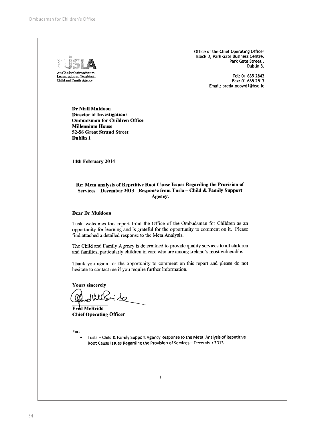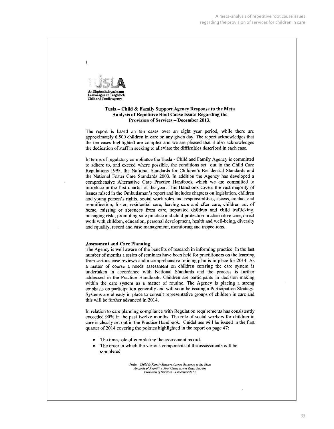

 $\overline{1}$ 

#### Tusla – Child & Family Support Agency Response to the Meta Analysis of Repetitive Root Cause Issues Regarding the Provision of Services - December 2013.

The report is based on ten cases over an eight year period, while there are approximately 6,500 children in care on any given day. The report acknowledges that the ten cases highlighted are complex and we are pleased that it also acknowledges the dedication of staff in seeking to alleviate the difficulties described in each case.

In terms of regulatory compliance the Tusla - Child and Family Agency is committed to adhere to, and exceed where possible, the conditions set out in the Child Care Regulations 1995, the National Standards for Children's Residential Standards and the National Foster Care Standards 2003. In addition the Agency has developed a comprehensive Alternative Care Practice Handbook which we are committed to introduce in the first quarter of the year. This Handbook covers the yast majority of issues raised in the Ombudsman's report and includes chapters on legislation, children and young person's rights, social work roles and responsibilities, access, contact and re-unification, foster, residential care, leaving care and after care, children out of home, missing or absences from care, separated children and child trafficking, managing risk, promoting safe practice and child protection in alternative care, direct work with children, education, personal development, health and well-being, diversity and equality, record and case management, monitoring and inspections.

#### **Assessment and Care Planning**

The Agency is well aware of the benefits of research in informing practice. In the last number of months a series of seminars have been held for practitioners on the learning from serious case reviews and a comprehensive training plan is in place for 2014. As a matter of course a needs assessment on children entering the care system is undertaken in accordance with National Standards and the process is further addressed in the Practice Handbook. Children are participants in decision making within the care system as a matter of routine. The Agency is placing a strong emphasis on participation generally and will soon be issuing a Participation Strategy. Systems are already in place to consult representative groups of children in care and this will be further advanced in 2014.

In relation to care planning compliance with Regulation requirements has consistently exceeded 90% in the past twelve months. The role of social workers for children in care is clearly set out in the Practice Handbook. Guidelines will be issued in the first quarter of 2014 covering the pointes highlighted in the report on page 47:

- The timescale of completing the assessment record.
- The order in which the various components of the assessments will be completed.

Tusla - Child & Family Support Agency Response to the Meta Analysis of Repetitive Root Cause Issues Regarding the Provision of Services - December 2013.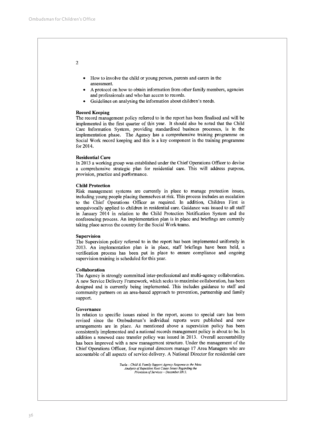$\overline{2}$ 

- How to involve the child or young person, parents and carers in the assessment
- A protocol on how to obtain information from other family members, agencies and professionals and who has access to records.
- Guidelines on analysing the information about children's needs.

#### **Record Keeping**

The record management policy referred to in the report has been finalised and will be implemented in the first quarter of this year. It should also be noted that the Child Care Information System, providing standardised business processes, is in the implementation phase. The Agency has a comprehensive training programme on Social Work record keeping and this is a key component in the training programme for 2014.

#### **Residential Care**

In 2013 a working group was established under the Chief Operations Officer to devise a comprehensive strategic plan for residential care. This will address purpose, provision, practice and performance.

#### **Child Protection**

Risk management systems are currently in place to manage protection issues, including young people placing themselves at risk. This process includes an escalation to the Chief Operations Officer as required. In addition, Children First is unequivocally applied to children in residential care. Guidance was issued to all staff in January 2014 in relation to the Child Protection Notification System and the conferencing process. An implementation plan is in place and briefings are currently taking place across the country for the Social Work teams.

#### **Supervision**

The Supervision policy referred to in the report has been implemented uniformly in 2013. An implementation plan is in place, staff briefings have been held, a verification process has been put in place to ensure compliance and ongoing supervision training is scheduled for this year.

#### Collaboration

The Agency is strongly committed inter-professional and multi-agency collaboration. A new Service Delivery Framework, which seeks to maximise collaboration, has been designed and is currently being implemented. This includes guidance to staff and community partners on an area-based approach to prevention, partnership and family support.

#### Governance

In relation to specific issues raised in the report, access to special care has been revised since the Ombudsman's individual reports were published and new arrangements are in place. As mentioned above a supervision policy has been consistently implemented and a national records management policy is about to be. In addition a renewed case transfer policy was issued in 2013. Overall accountability has been improved with a new management structure. Under the management of the Chief Operations Officer, four regional directors manage 17 Area Managers who are accountable of all aspects of service delivery. A National Director for residential care

> Tusla - Child & Family Support Agency Response to the Meta Analysis of Repetitive Root Cause Issues Regarding the Provision of Services - December 2013.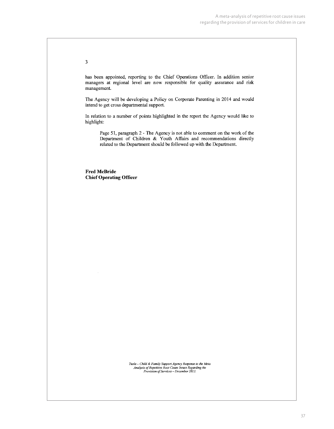$\overline{\mathbf{3}}$ 

has been appointed, reporting to the Chief Operations Officer. In addition senior managers at regional level are now responsible for quality assurance and risk management.

The Agency will be developing a Policy on Corporate Parenting in 2014 and would intend to get cross departmental support.

In relation to a number of points highlighted in the report the Agency would like to highlight:

Page 51, paragraph 2 - The Agency is not able to comment on the work of the Department of Children & Youth Affairs and recommendations directly related to the Department should be followed up with the Department.

**Fred McBride Chief Operating Officer** 

Tusla -- Child & Family Support Agency Response to the Meta<br>Analysis of Repetitive Root Cause Issues Regarding the<br>Provision of Services -- December 2013.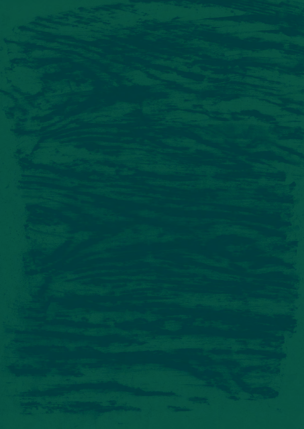